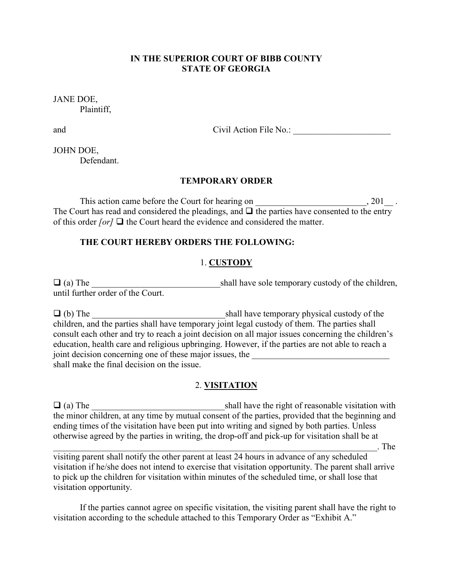#### **IN THE SUPERIOR COURT OF BIBB COUNTY STATE OF GEORGIA**

JANE DOE, Plaintiff,

and Civil Action File No.: \_\_\_\_\_\_\_\_\_\_\_\_\_\_\_\_\_\_\_\_\_\_

JOHN DOE, Defendant.

### **TEMPORARY ORDER**

This action came before the Court for hearing on \_\_\_\_\_\_\_\_\_\_\_\_\_\_\_\_\_\_\_\_\_, 201\_\_. The Court has read and considered the pleadings, and  $\Box$  the parties have consented to the entry of this order *[or]*  $\Box$  the Court heard the evidence and considered the matter.

### **THE COURT HEREBY ORDERS THE FOLLOWING:**

### 1. **CUSTODY**

 (a) The \_\_\_\_\_\_\_\_\_\_\_\_\_\_\_\_\_\_\_\_\_\_\_\_\_\_\_\_\_shall have sole temporary custody of the children, until further order of the Court.

 (b) The \_\_\_\_\_\_\_\_\_\_\_\_\_\_\_\_\_\_\_\_\_\_\_\_\_\_\_\_\_\_shall have temporary physical custody of the children, and the parties shall have temporary joint legal custody of them. The parties shall consult each other and try to reach a joint decision on all major issues concerning the children's education, health care and religious upbringing. However, if the parties are not able to reach a joint decision concerning one of these major issues, the shall make the final decision on the issue.

### 2. **VISITATION**

 (a) The \_\_\_\_\_\_\_\_\_\_\_\_\_\_\_\_\_\_\_\_\_\_\_\_\_\_\_\_\_\_shall have the right of reasonable visitation with the minor children, at any time by mutual consent of the parties, provided that the beginning and ending times of the visitation have been put into writing and signed by both parties. Unless otherwise agreed by the parties in writing, the drop-off and pick-up for visitation shall be at  $\Box$  The  $\Box$ 

visiting parent shall notify the other parent at least 24 hours in advance of any scheduled visitation if he/she does not intend to exercise that visitation opportunity. The parent shall arrive to pick up the children for visitation within minutes of the scheduled time, or shall lose that visitation opportunity.

 If the parties cannot agree on specific visitation, the visiting parent shall have the right to visitation according to the schedule attached to this Temporary Order as "Exhibit A."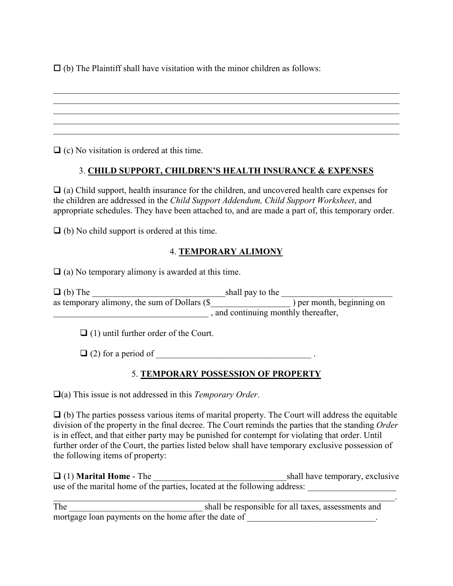$\Box$  (b) The Plaintiff shall have visitation with the minor children as follows:

 $\Box$  (c) No visitation is ordered at this time.

## 3. **CHILD SUPPORT, CHILDREN'S HEALTH INSURANCE & EXPENSES**

 $\_$  , and the set of the set of the set of the set of the set of the set of the set of the set of the set of the set of the set of the set of the set of the set of the set of the set of the set of the set of the set of th

\_\_\_\_\_\_\_\_\_\_\_\_\_\_\_\_\_\_\_\_\_\_\_\_\_\_\_\_\_\_\_\_\_\_\_\_\_\_\_\_\_\_\_\_\_\_\_\_\_\_\_\_\_\_\_\_\_\_\_\_\_\_\_\_\_\_\_\_\_\_\_\_\_\_\_\_\_\_ \_\_\_\_\_\_\_\_\_\_\_\_\_\_\_\_\_\_\_\_\_\_\_\_\_\_\_\_\_\_\_\_\_\_\_\_\_\_\_\_\_\_\_\_\_\_\_\_\_\_\_\_\_\_\_\_\_\_\_\_\_\_\_\_\_\_\_\_\_\_\_\_\_\_\_\_\_\_ \_\_\_\_\_\_\_\_\_\_\_\_\_\_\_\_\_\_\_\_\_\_\_\_\_\_\_\_\_\_\_\_\_\_\_\_\_\_\_\_\_\_\_\_\_\_\_\_\_\_\_\_\_\_\_\_\_\_\_\_\_\_\_\_\_\_\_\_\_\_\_\_\_\_\_\_\_\_

 $\Box$  (a) Child support, health insurance for the children, and uncovered health care expenses for the children are addressed in the *Child Support Addendum, Child Support Worksheet*, and appropriate schedules. They have been attached to, and are made a part of, this temporary order.

 $\Box$  (b) No child support is ordered at this time.

### 4. **TEMPORARY ALIMONY**

 $\Box$  (a) No temporary alimony is awarded at this time.

| $\Box$ (b) The                               | shall pay to the                   |                           |  |
|----------------------------------------------|------------------------------------|---------------------------|--|
| as temporary alimony, the sum of Dollars (\$ |                                    | ) per month, beginning on |  |
|                                              | and continuing monthly thereafter, |                           |  |

 $\Box$  (1) until further order of the Court.

 $\Box$  (2) for a period of

## 5. **TEMPORARY POSSESSION OF PROPERTY**

(a) This issue is not addressed in this *Temporary Order*.

 $\Box$  (b) The parties possess various items of marital property. The Court will address the equitable division of the property in the final decree. The Court reminds the parties that the standing *Order*  is in effect, and that either party may be punished for contempt for violating that order. Until further order of the Court, the parties listed below shall have temporary exclusive possession of the following items of property:

| $\Box$ (1) <b>Marital Home</b> - The                                      | shall have temporary, exclusive |
|---------------------------------------------------------------------------|---------------------------------|
| use of the marital home of the parties, located at the following address: |                                 |

 $\_$  , and the contribution of the contribution of  $\mathcal{L}_\mathbf{r}$  , and the contribution of  $\mathcal{L}_\mathbf{r}$ The \_\_\_\_\_\_\_\_\_\_\_\_\_\_\_\_\_\_\_\_\_\_\_\_\_\_\_\_\_\_ shall be responsible for all taxes, assessments and mortgage loan payments on the home after the date of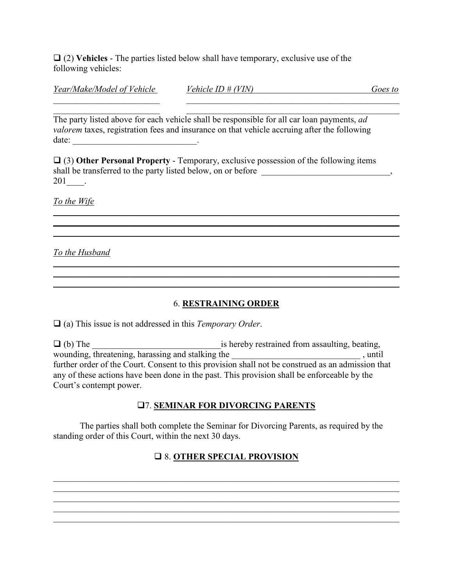$\Box$  (2) **Vehicles** - The parties listed below shall have temporary, exclusive use of the following vehicles:

| Year/Make/Model of Vehicle | 'IN<br>'ehicle ID # | <i><b>JOES</b></i><br>to |
|----------------------------|---------------------|--------------------------|
|                            |                     |                          |

 $\_$  , and the contribution of the contribution of  $\_$  . The contribution of  $\mathcal{L}_\mathcal{A}$ The party listed above for each vehicle shall be responsible for all car loan payments, *ad valorem* taxes, registration fees and insurance on that vehicle accruing after the following date: \_\_\_\_\_\_\_\_\_\_\_\_\_\_\_\_\_\_\_\_\_\_\_\_\_\_\_\_.

 (3) **Other Personal Property** - Temporary, exclusive possession of the following items shall be transferred to the party listed below, on or before \_\_\_\_\_\_\_\_\_\_\_\_\_\_\_\_\_\_\_\_\_\_\_\_\_\_\_, 201\_\_\_\_.

\_\_\_\_\_\_\_\_\_\_\_\_\_\_\_\_\_\_\_\_\_\_\_\_\_\_\_\_\_\_\_\_\_\_\_\_\_\_\_\_\_\_\_\_\_\_\_\_\_\_\_\_\_\_\_\_\_\_\_\_\_\_\_\_\_\_\_\_\_\_\_\_\_\_\_\_\_\_ \_\_\_\_\_\_\_\_\_\_\_\_\_\_\_\_\_\_\_\_\_\_\_\_\_\_\_\_\_\_\_\_\_\_\_\_\_\_\_\_\_\_\_\_\_\_\_\_\_\_\_\_\_\_\_\_\_\_\_\_\_\_\_\_\_\_\_\_\_\_\_\_\_\_\_\_\_\_ \_\_\_\_\_\_\_\_\_\_\_\_\_\_\_\_\_\_\_\_\_\_\_\_\_\_\_\_\_\_\_\_\_\_\_\_\_\_\_\_\_\_\_\_\_\_\_\_\_\_\_\_\_\_\_\_\_\_\_\_\_\_\_\_\_\_\_\_\_\_\_\_\_\_\_\_\_\_

*To the Wife*

*To the Husband*

## 6. **RESTRAINING ORDER**

*\_\_\_\_\_\_\_\_\_\_\_\_\_\_\_\_\_\_\_\_\_\_\_\_\_\_\_\_\_\_\_\_\_\_\_\_\_\_\_\_\_\_\_\_\_\_\_\_\_\_\_\_\_\_\_\_\_\_\_\_\_\_\_\_\_\_\_\_\_\_\_\_\_\_\_\_\_\_*

*\_\_\_\_\_\_\_\_\_\_\_\_\_\_\_\_\_\_\_\_\_\_\_\_\_\_\_\_\_\_\_\_\_\_\_\_\_\_\_\_\_\_\_\_\_\_\_\_\_\_\_\_\_\_\_\_\_\_\_\_\_\_\_\_\_\_\_\_\_\_\_\_\_\_\_\_\_\_*

(a) This issue is not addressed in this *Temporary Order*.

 (b) The \_\_\_\_\_\_\_\_\_\_\_\_\_\_\_\_\_\_\_\_\_\_\_\_\_\_\_\_\_is hereby restrained from assaulting, beating, wounding, threatening, harassing and stalking the \_\_\_\_\_\_\_\_\_\_\_\_\_\_\_\_\_\_\_\_\_\_\_\_\_\_\_\_\_\_\_, until further order of the Court. Consent to this provision shall not be construed as an admission that any of these actions have been done in the past. This provision shall be enforceable by the Court's contempt power.

## 7. **SEMINAR FOR DIVORCING PARENTS**

 The parties shall both complete the Seminar for Divorcing Parents, as required by the standing order of this Court, within the next 30 days.

# 8. **OTHER SPECIAL PROVISION**

 $\_$  , and the contribution of the contribution of the contribution of the contribution of  $\mathcal{L}_\text{max}$ \_\_\_\_\_\_\_\_\_\_\_\_\_\_\_\_\_\_\_\_\_\_\_\_\_\_\_\_\_\_\_\_\_\_\_\_\_\_\_\_\_\_\_\_\_\_\_\_\_\_\_\_\_\_\_\_\_\_\_\_\_\_\_\_\_\_\_\_\_\_\_\_\_\_\_\_\_\_ \_\_\_\_\_\_\_\_\_\_\_\_\_\_\_\_\_\_\_\_\_\_\_\_\_\_\_\_\_\_\_\_\_\_\_\_\_\_\_\_\_\_\_\_\_\_\_\_\_\_\_\_\_\_\_\_\_\_\_\_\_\_\_\_\_\_\_\_\_\_\_\_\_\_\_\_\_\_ \_\_\_\_\_\_\_\_\_\_\_\_\_\_\_\_\_\_\_\_\_\_\_\_\_\_\_\_\_\_\_\_\_\_\_\_\_\_\_\_\_\_\_\_\_\_\_\_\_\_\_\_\_\_\_\_\_\_\_\_\_\_\_\_\_\_\_\_\_\_\_\_\_\_\_\_\_\_